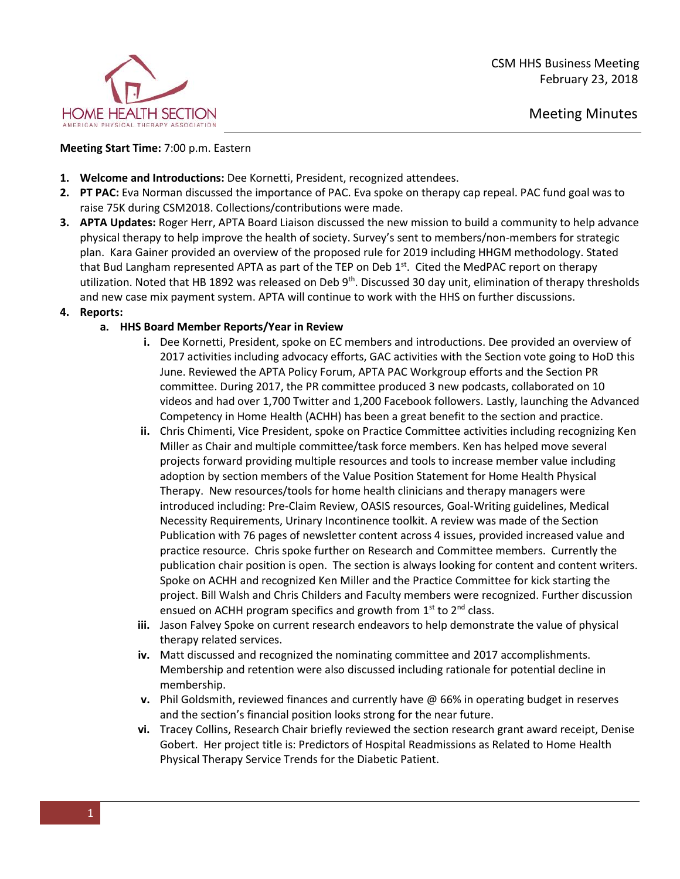

## **Meeting Start Time:** 7:00 p.m. Eastern

- **1. Welcome and Introductions:** Dee Kornetti, President, recognized attendees.
- **2. PT PAC:** Eva Norman discussed the importance of PAC. Eva spoke on therapy cap repeal. PAC fund goal was to raise 75K during CSM2018. Collections/contributions were made.
- **3. APTA Updates:** Roger Herr, APTA Board Liaison discussed the new mission to build a community to help advance physical therapy to help improve the health of society. Survey's sent to members/non-members for strategic plan. Kara Gainer provided an overview of the proposed rule for 2019 including HHGM methodology. Stated that Bud Langham represented APTA as part of the TEP on Deb  $1<sup>st</sup>$ . Cited the MedPAC report on therapy utilization. Noted that HB 1892 was released on Deb 9<sup>th</sup>. Discussed 30 day unit, elimination of therapy thresholds and new case mix payment system. APTA will continue to work with the HHS on further discussions.
- **4. Reports:**

## **a. HHS Board Member Reports/Year in Review**

- **i.** Dee Kornetti, President, spoke on EC members and introductions. Dee provided an overview of 2017 activities including advocacy efforts, GAC activities with the Section vote going to HoD this June. Reviewed the APTA Policy Forum, APTA PAC Workgroup efforts and the Section PR committee. During 2017, the PR committee produced 3 new podcasts, collaborated on 10 videos and had over 1,700 Twitter and 1,200 Facebook followers. Lastly, launching the Advanced Competency in Home Health (ACHH) has been a great benefit to the section and practice.
- **ii.** Chris Chimenti, Vice President, spoke on Practice Committee activities including recognizing Ken Miller as Chair and multiple committee/task force members. Ken has helped move several projects forward providing multiple resources and tools to increase member value including adoption by section members of the Value Position Statement for Home Health Physical Therapy. New resources/tools for home health clinicians and therapy managers were introduced including: Pre-Claim Review, OASIS resources, Goal-Writing guidelines, Medical Necessity Requirements, Urinary Incontinence toolkit. A review was made of the Section Publication with 76 pages of newsletter content across 4 issues, provided increased value and practice resource. Chris spoke further on Research and Committee members. Currently the publication chair position is open. The section is always looking for content and content writers. Spoke on ACHH and recognized Ken Miller and the Practice Committee for kick starting the project. Bill Walsh and Chris Childers and Faculty members were recognized. Further discussion ensued on ACHH program specifics and growth from  $1<sup>st</sup>$  to  $2<sup>nd</sup>$  class.
- **iii.** Jason Falvey Spoke on current research endeavors to help demonstrate the value of physical therapy related services.
- **iv.** Matt discussed and recognized the nominating committee and 2017 accomplishments. Membership and retention were also discussed including rationale for potential decline in membership.
- **v.** Phil Goldsmith, reviewed finances and currently have @ 66% in operating budget in reserves and the section's financial position looks strong for the near future.
- **vi.** Tracey Collins, Research Chair briefly reviewed the section research grant award receipt, Denise Gobert. Her project title is: Predictors of Hospital Readmissions as Related to Home Health Physical Therapy Service Trends for the Diabetic Patient.